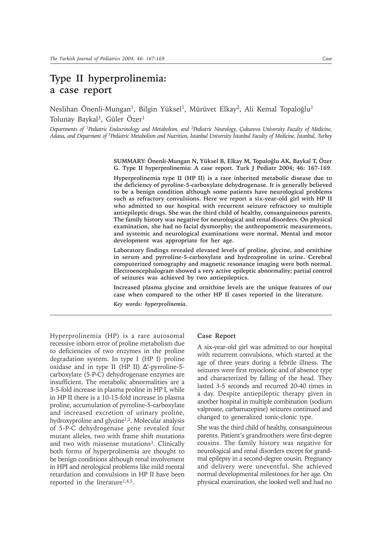## **Type II hyperprolinemia: a case report**

Neslihan Önenli-Mungan<sup>1</sup>, Bilgin Yüksel<sup>1</sup>, Mürüvet Elkay<sup>2</sup>, Ali Kemal Topaloğlu<sup>1</sup> Tolunay Baykal<sup>3</sup>, Güler Özer<sup>1</sup>

*Departments of 1Pediatric Endocrinology and Metabolism, and 2Pediatric Neurology, Çukurova University Faculty of Medicine,* Adana, and Deparment of <sup>3</sup>Pediatric Metabolism and Nutrition, *İstanbul University İstanbul Faculty of Medicine*, *İstanbul*, Turkey

> **SUMMARY: Önenli-Mungan N, Yüksel B, Elkay M, Topaloðlu AK, Baykal T, Özer G. Type II hyperprolinemia: A case report. Turk J Pediatr 2004; 46: 167-169.**

> **Hyperprolinemia type II (HP II) is a rare inherited metabolic disease due to the deficiency of pyroline-5-carboxylate dehydrogenase. It is generally believed to be a benign condition although some patients have neurological problems such as refractory convulsions. Here we report a six-year-old girl with HP II who admitted to our hospital with recurrent seizure refractory to multiple antiepileptic drugs. She was the third child of healthy, consanguineous parents. The family history was negative for neurological and renal disorders. On physical examination, she had no facial dysmorphy; the anthropometric measurements, and systemic and neurological examinations were normal. Mental and motor development was appropriate for her age.**

> **Laboratory findings revealed elevated levels of proline, glycine, and ornithine in serum and pyrroline-5-carboxylate and hydroxproline in urine. Cerebral computerized tomography and magnetic resonance imaging were both normal. Electroencephalogram showed a very active epileptic abnormality; partial control of seizures was achieved by two antiepileptics.**

> **Increased plasma glycine and ornithine levels are the unique features of our case when compared to the other HP II cases reported in the literature.**

*Key words: hyperprolinemia.*

Hyperprolinemia (HP) is a rare autosomal recessive inborn error of proline metabolism due to deficiencies of two enzymes in the proline degradation system. In type I (HP I) proline oxidase and in type II (HP II) ∆'-pyrroline-5 carboxylate (5-P-C) dehydrogenase enzymes are insufficient. The metabolic abnormalities are a 3-5-fold increase in plasma proline in HP I, while in HP II there is a 10-15-fold increase in plasma proline, accumulation of pyrroline-5-carboxylate and increased excretion of urinary proline, hydroxyproline and glycine<sup>1,2</sup>. Molecular analysis of 5-P-C dehydrogenase gene revealed four mutant alleles, two with frame shift mutations and two with missense mutations<sup>3</sup>. Clinically both forms of hyperprolinemia are thought to be benign conditions although renal involvement in HPI and nerological problems like mild mental retardation and convulsions in HP II have been reported in the literature<sup>1,4,5</sup>.

## **Case Report**

A six-year-old girl was admitted to our hospital with recurrent convulsions, which started at the age of three years during a febrile illness. The seizures were first myoclonic and of absence type and characterized by falling of the head. They lasted 3-5 seconds and recurred 20-40 times in a day. Despite antiepileptic therapy given in another hospital in multiple combination (sodium valproate, carbamazepine) seizures continued and changed to generalized tonic-clonic type.

She was the third child of healthy, consanguineous parents. Patient's grandmothers were first-degree cousins. The family history was negative for neurological and renal disorders except for grandmal epilepsy in a second-degree cousin. Pregnancy and delivery were uneventful. She achieved normal developmental milestones for her age. On physical examination, she looked well and had no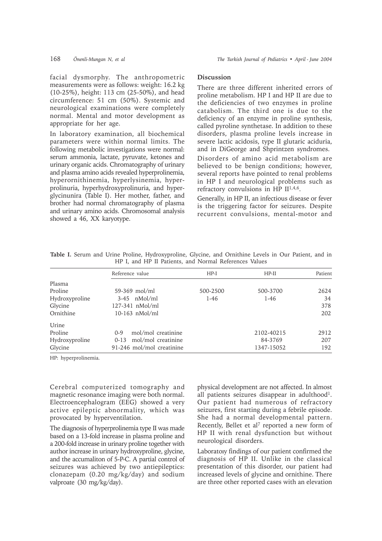facial dysmorphy. The anthropometric measurements were as follows: weight: 16.2 kg (10-25%), height: 113 cm (25-50%), and head circumference: 51 cm (50%). Systemic and neurological examinations were completely normal. Mental and motor development as appropriate for her age.

In laboratory examination, all biochemical parameters were within normal limits. The following metabolic investigations were normal: serum ammonia, lactate, pyruvate, ketones and urinary organic acids. Chromatography of urinary and plasma amino acids revealed hyperprolinemia, hyperornithinemia, hyperlysinemia, hyperprolinuria, hyperhydroxyprolinuria, and hyperglycinunira (Table I). Her mother, father, and brother had normal chromatography of plasma and urinary amino acids. Chromosomal analysis showed a 46, XX karyotype.

## **Discussion**

There are three different inherited errors of proline metabolism. HP I and HP II are due to the deficiencies of two enzymes in proline catabolism. The third one is due to the deficiency of an enzyme in proline synthesis, called pyroline synthetase. In addition to these disorders, plasma proline levels increase in severe lactic acidosis, type II glutaric aciduria, and in DiGeorge and Shprintzen syndromes.

Disorders of amino acid metabolism are believed to be benign conditions; however, several reports have pointed to renal problems in HP I and neurological problems such as refractory convulsions in HP II<sup>1,4,6</sup>.

Generally, in HP II, an infectious disease or fever is the triggering factor for seizures. Despite recurrent convulsions, mental-motor and

|                | HP I, and HP II Patients, and Normal References Values |          |            |         |
|----------------|--------------------------------------------------------|----------|------------|---------|
|                | Reference value                                        | $HP-I$   | $HP-II$    | Patient |
| Plasma         |                                                        |          |            |         |
| Proline        | $59-369$ mol/ml                                        | 500-2500 | 500-3700   | 2624    |
| Hydroxyproline | $3-45$ nMol/ml                                         | $1-46$   | $1 - 46$   | 34      |
| Glycine        | $127-341$ nMol/ml                                      |          |            | 378     |
| Ornithine      | $10-163$ nMol/ml                                       |          |            | 202     |
| Urine          |                                                        |          |            |         |
| Proline        | mol/mol creatinine<br>$0 - 9$                          |          | 2102-40215 | 2912    |
| Hydroxyproline | 0-13 mol/mol creatinine                                |          | 84-3769    | 207     |
| Glycine        | 91-246 mol/mol creatinine                              |          | 1347-15052 | 192     |

**Table I.** Serum and Urine Proline, Hydroxyproline, Glycine, and Ornithine Levels in Our Patient, and in

HP: hyperprolinemia.

Cerebral computerized tomography and magnetic resonance imaging were both normal. Electroencephalogram (EEG) showed a very active epileptic abnormality, which was provocated by hyperventilation.

The diagnosis of hyperprolinemia type II was made based on a 13-fold increase in plasma proline and a 200-fold increase in urinary proline together with author increase in urinary hydroxyproline, glycine, and the accumaliton of 5-P-C. A partial control of seizures was achieved by two antiepileptics: clonazepam (0.20 mg/kg/day) and sodium valproate (30 mg/kg/day).

physical development are not affected. In almost all patients seizures disappear in adulthood<sup>1</sup>. Our patient had numerous of refractory seizures, first starting during a febrile episode. She had a normal developmental pattern. Recently, Bellet et al<sup>7</sup> reported a new form of HP II with renal dysfunction but without neurological disorders.

Laboratoiy findings of our patient confirmed the diagnosis of HP II. Unlike in the classical presentation of this disorder, our patient had increased levels of glycine and ornithine. There are three other reported cases with an elevation